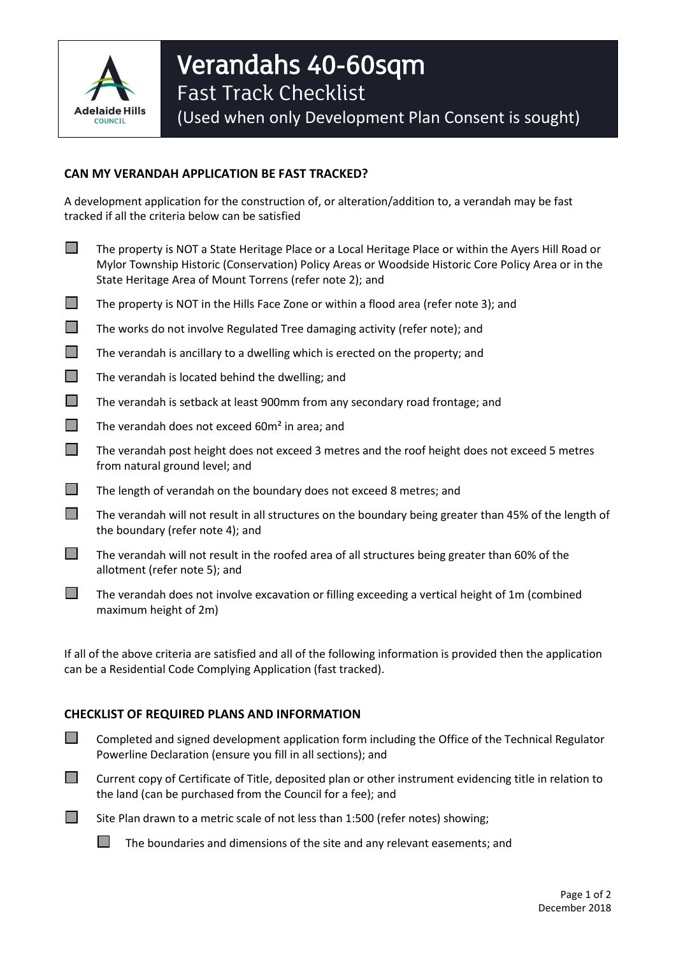

(Used when only Development Plan Consent is sought)

## **CAN MY VERANDAH APPLICATION BE FAST TRACKED?**

A development application for the construction of, or alteration/addition to, a verandah may be fast tracked if all the criteria below can be satisfied

- The property is NOT a State Heritage Place or a Local Heritage Place or within the Ayers Hill Road or Mylor Township Historic (Conservation) Policy Areas or Woodside Historic Core Policy Area or in the State Heritage Area of Mount Torrens (refer note 2); and
- $\Box$  The property is NOT in the Hills Face Zone or within a flood area (refer note 3); and
- $\Box$  The works do not involve Regulated Tree damaging activity (refer note); and
- $\Box$  The verandah is ancillary to a dwelling which is erected on the property; and
- $\Box$  The verandah is located behind the dwelling; and
- The verandah is setback at least 900mm from any secondary road frontage; and
- $\Box$  The verandah does not exceed 60 $m<sup>2</sup>$  in area; and
- $\Box$  The verandah post height does not exceed 3 metres and the roof height does not exceed 5 metres from natural ground level; and
- $\Box$  The length of verandah on the boundary does not exceed 8 metres; and
- $\Box$  The verandah will not result in all structures on the boundary being greater than 45% of the length of the boundary (refer note 4); and
- $\Box$  The verandah will not result in the roofed area of all structures being greater than 60% of the allotment (refer note 5); and
- $\Box$  The verandah does not involve excavation or filling exceeding a vertical height of 1m (combined maximum height of 2m)

If all of the above criteria are satisfied and all of the following information is provided then the application can be a Residential Code Complying Application (fast tracked).

## **CHECKLIST OF REQUIRED PLANS AND INFORMATION**

- $\Box$  Completed and signed development application form including the Office of the Technical Regulator Powerline Declaration (ensure you fill in all sections); and
- Current copy of Certificate of Title, deposited plan or other instrument evidencing title in relation to the land (can be purchased from the Council for a fee); and



 $\Box$  The boundaries and dimensions of the site and any relevant easements; and